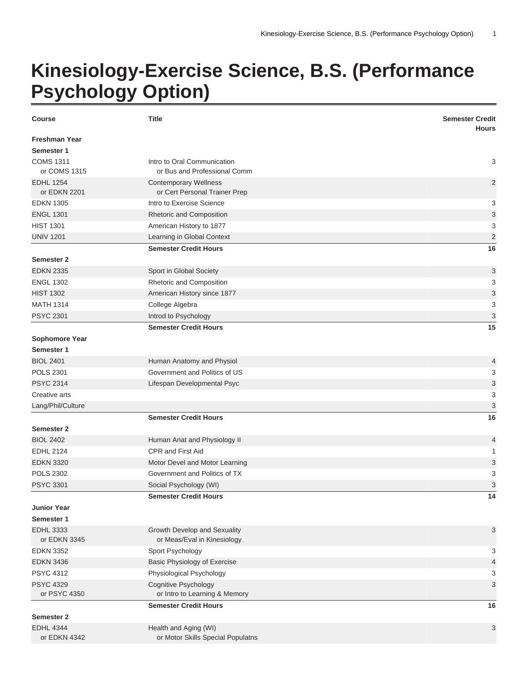## **Kinesiology-Exercise Science, B.S. (Performance Psychology Option)**

| <b>Course</b>                    | <b>Title</b>                                                  | <b>Semester Credit</b><br><b>Hours</b> |
|----------------------------------|---------------------------------------------------------------|----------------------------------------|
| <b>Freshman Year</b>             |                                                               |                                        |
| Semester 1                       |                                                               |                                        |
| <b>COMS 1311</b>                 | Intro to Oral Communication                                   | 3                                      |
| or COMS 1315                     | or Bus and Professional Comm                                  |                                        |
| <b>EDHL 1254</b><br>or EDKN 2201 | <b>Contemporary Wellness</b><br>or Cert Personal Trainer Prep | $\overline{2}$                         |
| <b>EDKN 1305</b>                 | Intro to Exercise Science                                     | 3                                      |
| <b>ENGL 1301</b>                 | Rhetoric and Composition                                      | 3                                      |
| <b>HIST 1301</b>                 | American History to 1877                                      | 3                                      |
| <b>UNIV 1201</b>                 | Learning in Global Context                                    | $\sqrt{2}$                             |
|                                  | <b>Semester Credit Hours</b>                                  | 16                                     |
| Semester 2                       |                                                               |                                        |
| <b>EDKN 2335</b>                 | Sport in Global Society                                       | 3                                      |
| <b>ENGL 1302</b>                 | Rhetoric and Composition                                      | 3                                      |
| <b>HIST 1302</b>                 | American History since 1877                                   | 3                                      |
| <b>MATH 1314</b>                 | College Algebra                                               | 3                                      |
| <b>PSYC 2301</b>                 | Introd to Psychology                                          | $\ensuremath{\mathsf{3}}$              |
|                                  | <b>Semester Credit Hours</b>                                  | 15                                     |
| Sophomore Year                   |                                                               |                                        |
| Semester 1                       |                                                               |                                        |
| <b>BIOL 2401</b>                 | Human Anatomy and Physiol                                     | 4                                      |
| <b>POLS 2301</b>                 | Government and Politics of US                                 | 3                                      |
| <b>PSYC 2314</b>                 | Lifespan Developmental Psyc                                   | 3                                      |
| Creative arts                    |                                                               | 3                                      |
| Lang/Phil/Culture                |                                                               | 3                                      |
|                                  | <b>Semester Credit Hours</b>                                  | 16                                     |
| Semester 2                       |                                                               |                                        |
| <b>BIOL 2402</b>                 | Human Anat and Physiology II                                  | 4                                      |
| <b>EDHL 2124</b>                 | CPR and First Aid                                             | 1                                      |
| <b>EDKN 3320</b>                 | Motor Devel and Motor Learning                                | 3                                      |
| <b>POLS 2302</b>                 | Government and Politics of TX                                 | 3                                      |
| <b>PSYC 3301</b>                 | Social Psychology (WI)                                        | 3                                      |
|                                  | <b>Semester Credit Hours</b>                                  | 14                                     |
| <b>Junior Year</b>               |                                                               |                                        |
| Semester 1                       |                                                               |                                        |
| <b>EDHL 3333</b>                 | Growth Develop and Sexuality                                  | 3                                      |
| or EDKN 3345                     | or Meas/Eval in Kinesiology                                   |                                        |
| <b>EDKN 3352</b>                 | Sport Psychology                                              | 3                                      |
| <b>EDKN 3436</b>                 | Basic Physiology of Exercise                                  | $\overline{4}$                         |
| <b>PSYC 4312</b>                 | Physiological Psychology                                      | 3                                      |
| <b>PSYC 4329</b>                 | Cognitive Psychology                                          | 3                                      |
| or PSYC 4350                     | or Intro to Learning & Memory                                 |                                        |
|                                  | <b>Semester Credit Hours</b>                                  | 16                                     |
| Semester 2                       |                                                               |                                        |
| <b>EDHL 4344</b>                 | Health and Aging (WI)                                         | 3                                      |
| or EDKN 4342                     | or Motor Skills Special Populatns                             |                                        |